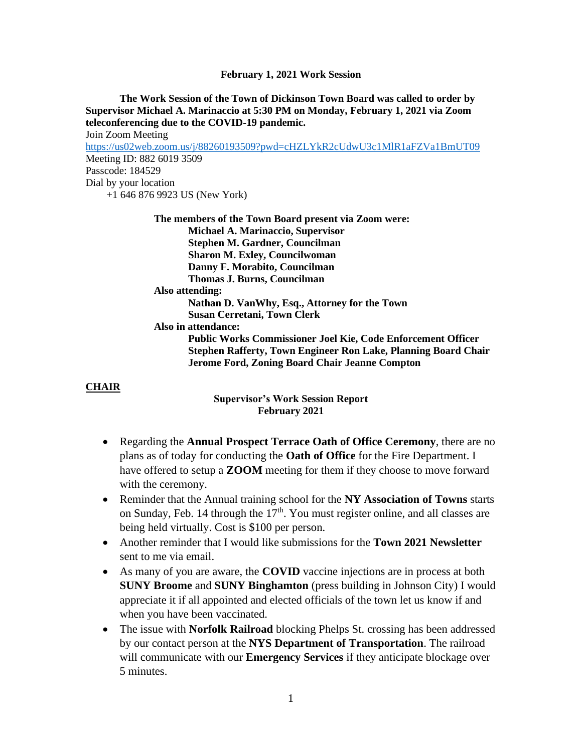**February 1, 2021 Work Session**

**The Work Session of the Town of Dickinson Town Board was called to order by Supervisor Michael A. Marinaccio at 5:30 PM on Monday, February 1, 2021 via Zoom teleconferencing due to the COVID-19 pandemic.** Join Zoom Meeting <https://us02web.zoom.us/j/88260193509?pwd=cHZLYkR2cUdwU3c1MlR1aFZVa1BmUT09> Meeting ID: 882 6019 3509 Passcode: 184529 Dial by your location +1 646 876 9923 US (New York) **The members of the Town Board present via Zoom were: Michael A. Marinaccio, Supervisor Stephen M. Gardner, Councilman Sharon M. Exley, Councilwoman Danny F. Morabito, Councilman Thomas J. Burns, Councilman Also attending: Nathan D. VanWhy, Esq., Attorney for the Town Susan Cerretani, Town Clerk Also in attendance: Public Works Commissioner Joel Kie, Code Enforcement Officer Stephen Rafferty, Town Engineer Ron Lake, Planning Board Chair Jerome Ford, Zoning Board Chair Jeanne Compton**

# **CHAIR**

**Supervisor's Work Session Report February 2021**

- Regarding the **Annual Prospect Terrace Oath of Office Ceremony**, there are no plans as of today for conducting the **Oath of Office** for the Fire Department. I have offered to setup a **ZOOM** meeting for them if they choose to move forward with the ceremony.
- Reminder that the Annual training school for the **NY Association of Towns** starts on Sunday, Feb. 14 through the  $17<sup>th</sup>$ . You must register online, and all classes are being held virtually. Cost is \$100 per person.
- Another reminder that I would like submissions for the **Town 2021 Newsletter** sent to me via email.
- As many of you are aware, the **COVID** vaccine injections are in process at both **SUNY Broome** and **SUNY Binghamton** (press building in Johnson City) I would appreciate it if all appointed and elected officials of the town let us know if and when you have been vaccinated.
- The issue with **Norfolk Railroad** blocking Phelps St. crossing has been addressed by our contact person at the **NYS Department of Transportation**. The railroad will communicate with our **Emergency Services** if they anticipate blockage over 5 minutes.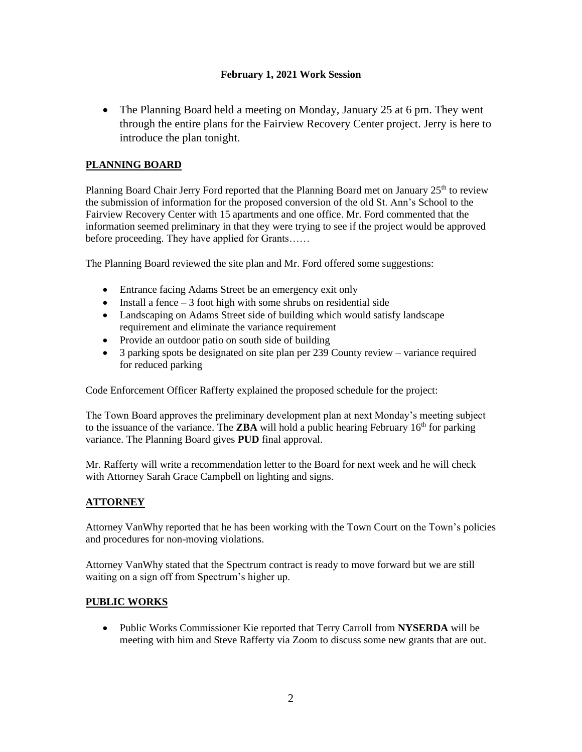### **February 1, 2021 Work Session**

• The Planning Board held a meeting on Monday, January 25 at 6 pm. They went through the entire plans for the Fairview Recovery Center project. Jerry is here to introduce the plan tonight.

# **PLANNING BOARD**

Planning Board Chair Jerry Ford reported that the Planning Board met on January  $25<sup>th</sup>$  to review the submission of information for the proposed conversion of the old St. Ann's School to the Fairview Recovery Center with 15 apartments and one office. Mr. Ford commented that the information seemed preliminary in that they were trying to see if the project would be approved before proceeding. They have applied for Grants……

The Planning Board reviewed the site plan and Mr. Ford offered some suggestions:

- Entrance facing Adams Street be an emergency exit only
- Install a fence  $-3$  foot high with some shrubs on residential side
- Landscaping on Adams Street side of building which would satisfy landscape requirement and eliminate the variance requirement
- Provide an outdoor patio on south side of building
- 3 parking spots be designated on site plan per 239 County review variance required for reduced parking

Code Enforcement Officer Rafferty explained the proposed schedule for the project:

The Town Board approves the preliminary development plan at next Monday's meeting subject to the issuance of the variance. The **ZBA** will hold a public hearing February  $16<sup>th</sup>$  for parking variance. The Planning Board gives **PUD** final approval.

Mr. Rafferty will write a recommendation letter to the Board for next week and he will check with Attorney Sarah Grace Campbell on lighting and signs.

### **ATTORNEY**

Attorney VanWhy reported that he has been working with the Town Court on the Town's policies and procedures for non-moving violations.

Attorney VanWhy stated that the Spectrum contract is ready to move forward but we are still waiting on a sign off from Spectrum's higher up.

### **PUBLIC WORKS**

• Public Works Commissioner Kie reported that Terry Carroll from **NYSERDA** will be meeting with him and Steve Rafferty via Zoom to discuss some new grants that are out.